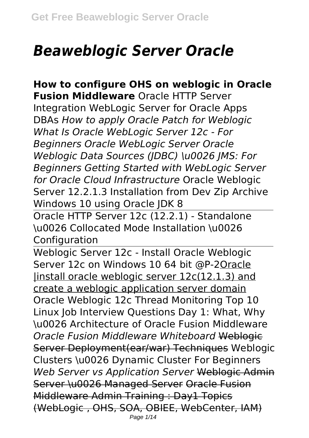# *Beaweblogic Server Oracle*

**How to configure OHS on weblogic in Oracle Fusion Middleware** Oracle HTTP Server Integration WebLogic Server for Oracle Apps DBAs *How to apply Oracle Patch for Weblogic What Is Oracle WebLogic Server 12c - For Beginners Oracle WebLogic Server Oracle Weblogic Data Sources (JDBC) \u0026 JMS: For Beginners Getting Started with WebLogic Server for Oracle Cloud Infrastructure* Oracle Weblogic Server 12.2.1.3 Installation from Dev Zip Archive Windows 10 using Oracle JDK 8

Oracle HTTP Server 12c (12.2.1) - Standalone \u0026 Collocated Mode Installation \u0026 **Configuration** 

Weblogic Server 12c - Install Oracle Weblogic Server 12c on Windows 10 64 bit @P-2Oracle |install oracle weblogic server 12c(12.1.3) and create a weblogic application server domain Oracle Weblogic 12c Thread Monitoring Top 10 Linux Job Interview Questions Day 1: What, Why \u0026 Architecture of Oracle Fusion Middleware *Oracle Fusion Middleware Whiteboard* Weblogic Server Deployment(ear/war) Techniques Weblogic Clusters \u0026 Dynamic Cluster For Beginners *Web Server vs Application Server* Weblogic Admin Server \u0026 Managed Server Oracle Fusion Middleware Admin Training : Day1 Topics (WebLogic , OHS, SOA, OBIEE, WebCenter, IAM) Page 1/14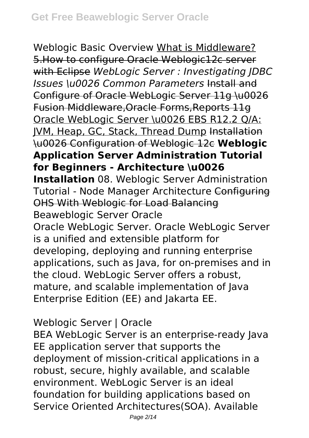Weblogic Basic Overview What is Middleware? 5.How to configure Oracle Weblogic12c server with Eclipse *WebLogic Server : Investigating JDBC Issues \u0026 Common Parameters* Install and Configure of Oracle WebLogic Server 11g \u0026 Fusion Middleware,Oracle Forms,Reports 11g Oracle WebLogic Server \u0026 EBS R12.2 Q/A: JVM, Heap, GC, Stack, Thread Dump Installation \u0026 Configuration of Weblogic 12c **Weblogic Application Server Administration Tutorial for Beginners - Architecture \u0026 Installation** 08. Weblogic Server Administration Tutorial - Node Manager Architecture Configuring OHS With Weblogic for Load Balancing Beaweblogic Server Oracle Oracle WebLogic Server. Oracle WebLogic Server is a unified and extensible platform for developing, deploying and running enterprise applications, such as Java, for on-premises and in the cloud. WebLogic Server offers a robust, mature, and scalable implementation of Java Enterprise Edition (EE) and Jakarta EE.

#### Weblogic Server | Oracle

BEA WebLogic Server is an enterprise-ready Java EE application server that supports the deployment of mission-critical applications in a robust, secure, highly available, and scalable environment. WebLogic Server is an ideal foundation for building applications based on Service Oriented Architectures(SOA). Available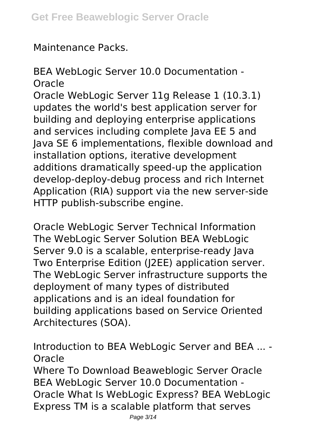Maintenance Packs.

## BEA WebLogic Server 10.0 Documentation - **Oracle**

Oracle WebLogic Server 11g Release 1 (10.3.1) updates the world's best application server for building and deploying enterprise applications and services including complete Java EE 5 and Java SE 6 implementations, flexible download and installation options, iterative development additions dramatically speed-up the application develop-deploy-debug process and rich Internet Application (RIA) support via the new server-side HTTP publish-subscribe engine.

Oracle WebLogic Server Technical Information The WebLogic Server Solution BEA WebLogic Server 9.0 is a scalable, enterprise-ready Java Two Enterprise Edition (J2EE) application server. The WebLogic Server infrastructure supports the deployment of many types of distributed applications and is an ideal foundation for building applications based on Service Oriented Architectures (SOA).

Introduction to BEA WebLogic Server and BEA ... - Oracle Where To Download Beaweblogic Server Oracle

BEA WebLogic Server 10.0 Documentation - Oracle What Is WebLogic Express? BEA WebLogic Express TM is a scalable platform that serves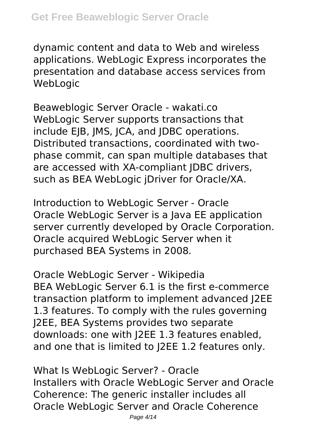#### **Get Free Beaweblogic Server Oracle**

dynamic content and data to Web and wireless applications. WebLogic Express incorporates the presentation and database access services from **WebLogic** 

Beaweblogic Server Oracle - wakati.co WebLogic Server supports transactions that include EJB, JMS, JCA, and JDBC operations. Distributed transactions, coordinated with twophase commit, can span multiple databases that are accessed with XA-compliant JDBC drivers, such as BEA WebLogic jDriver for Oracle/XA.

Introduction to WebLogic Server - Oracle Oracle WebLogic Server is a Java EE application server currently developed by Oracle Corporation. Oracle acquired WebLogic Server when it purchased BEA Systems in 2008.

Oracle WebLogic Server - Wikipedia BEA WebLogic Server 6.1 is the first e-commerce transaction platform to implement advanced J2EE 1.3 features. To comply with the rules governing J2EE, BEA Systems provides two separate downloads: one with J2EE 1.3 features enabled, and one that is limited to J2EE 1.2 features only.

What Is WebLogic Server? - Oracle Installers with Oracle WebLogic Server and Oracle Coherence: The generic installer includes all Oracle WebLogic Server and Oracle Coherence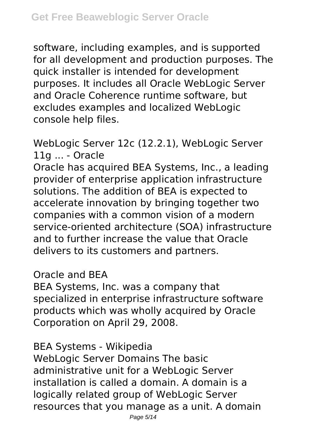software, including examples, and is supported for all development and production purposes. The quick installer is intended for development purposes. It includes all Oracle WebLogic Server and Oracle Coherence runtime software, but excludes examples and localized WebLogic console help files.

WebLogic Server 12c (12.2.1), WebLogic Server 11g ... - Oracle

Oracle has acquired BEA Systems, Inc., a leading provider of enterprise application infrastructure solutions. The addition of BEA is expected to accelerate innovation by bringing together two companies with a common vision of a modern service-oriented architecture (SOA) infrastructure and to further increase the value that Oracle delivers to its customers and partners.

Oracle and BEA

BEA Systems, Inc. was a company that specialized in enterprise infrastructure software products which was wholly acquired by Oracle Corporation on April 29, 2008.

BEA Systems - Wikipedia

WebLogic Server Domains The basic administrative unit for a WebLogic Server installation is called a domain. A domain is a logically related group of WebLogic Server resources that you manage as a unit. A domain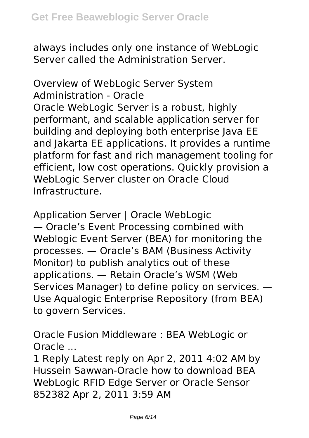always includes only one instance of WebLogic Server called the Administration Server.

Overview of WebLogic Server System Administration - Oracle Oracle WebLogic Server is a robust, highly performant, and scalable application server for building and deploying both enterprise Java EE and Jakarta EE applications. It provides a runtime platform for fast and rich management tooling for efficient, low cost operations. Quickly provision a WebLogic Server cluster on Oracle Cloud Infrastructure.

Application Server | Oracle WebLogic — Oracle's Event Processing combined with Weblogic Event Server (BEA) for monitoring the processes. — Oracle's BAM (Business Activity Monitor) to publish analytics out of these applications. — Retain Oracle's WSM (Web Services Manager) to define policy on services. — Use Aqualogic Enterprise Repository (from BEA) to govern Services.

Oracle Fusion Middleware : BEA WebLogic or Oracle ...

1 Reply Latest reply on Apr 2, 2011 4:02 AM by Hussein Sawwan-Oracle how to download BEA WebLogic RFID Edge Server or Oracle Sensor 852382 Apr 2, 2011 3:59 AM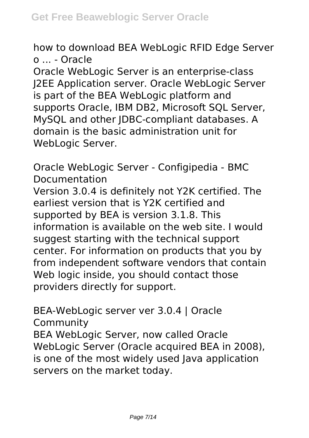how to download BEA WebLogic RFID Edge Server o ... - Oracle

Oracle WebLogic Server is an enterprise-class J2EE Application server. Oracle WebLogic Server is part of the BEA WebLogic platform and supports Oracle, IBM DB2, Microsoft SQL Server, MySQL and other JDBC-compliant databases. A domain is the basic administration unit for WebLogic Server.

Oracle WebLogic Server - Configipedia - BMC Documentation

Version 3.0.4 is definitely not Y2K certified. The earliest version that is Y2K certified and supported by BEA is version 3.1.8. This information is available on the web site. I would suggest starting with the technical support center. For information on products that you by from independent software vendors that contain Web logic inside, you should contact those providers directly for support.

BEA-WebLogic server ver 3.0.4 | Oracle Community BEA WebLogic Server, now called Oracle WebLogic Server (Oracle acquired BEA in 2008), is one of the most widely used Java application servers on the market today.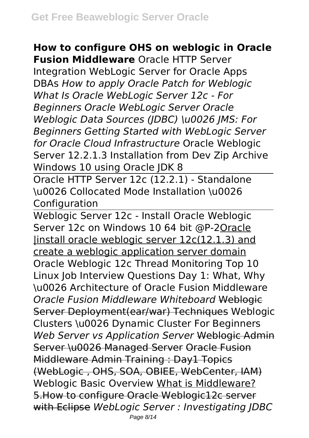#### **How to configure OHS on weblogic in Oracle**

**Fusion Middleware** Oracle HTTP Server Integration WebLogic Server for Oracle Apps DBAs *How to apply Oracle Patch for Weblogic What Is Oracle WebLogic Server 12c - For Beginners Oracle WebLogic Server Oracle Weblogic Data Sources (JDBC) \u0026 JMS: For Beginners Getting Started with WebLogic Server for Oracle Cloud Infrastructure* Oracle Weblogic Server 12.2.1.3 Installation from Dev Zip Archive Windows 10 using Oracle JDK 8

Oracle HTTP Server 12c (12.2.1) - Standalone \u0026 Collocated Mode Installation \u0026 Configuration

Weblogic Server 12c - Install Oracle Weblogic Server 12c on Windows 10 64 bit @P-2Oracle |install oracle weblogic server 12c(12.1.3) and create a weblogic application server domain Oracle Weblogic 12c Thread Monitoring Top 10 Linux Job Interview Questions Day 1: What, Why \u0026 Architecture of Oracle Fusion Middleware *Oracle Fusion Middleware Whiteboard* Weblogic Server Deployment(ear/war) Techniques Weblogic Clusters \u0026 Dynamic Cluster For Beginners *Web Server vs Application Server* Weblogic Admin Server \u0026 Managed Server Oracle Fusion Middleware Admin Training : Day1 Topics (WebLogic , OHS, SOA, OBIEE, WebCenter, IAM) Weblogic Basic Overview What is Middleware? 5.How to configure Oracle Weblogic12c server with Eclipse *WebLogic Server : Investigating JDBC* Page 8/14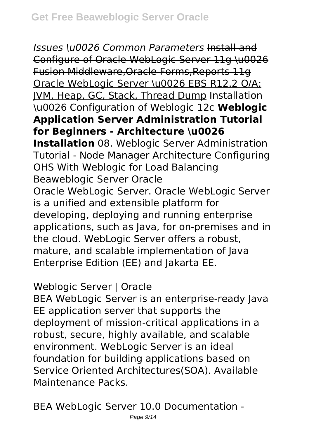*Issues \u0026 Common Parameters* Install and Configure of Oracle WebLogic Server 11g \u0026 Fusion Middleware,Oracle Forms,Reports 11g Oracle WebLogic Server \u0026 EBS R12.2 Q/A: JVM, Heap, GC, Stack, Thread Dump Installation \u0026 Configuration of Weblogic 12c **Weblogic Application Server Administration Tutorial for Beginners - Architecture \u0026 Installation** 08. Weblogic Server Administration

Tutorial - Node Manager Architecture Configuring OHS With Weblogic for Load Balancing Beaweblogic Server Oracle Oracle WebLogic Server. Oracle WebLogic Server is a unified and extensible platform for developing, deploying and running enterprise applications, such as Java, for on-premises and in the cloud. WebLogic Server offers a robust, mature, and scalable implementation of Java Enterprise Edition (EE) and Jakarta EE.

## Weblogic Server | Oracle

BEA WebLogic Server is an enterprise-ready Java EE application server that supports the deployment of mission-critical applications in a robust, secure, highly available, and scalable environment. WebLogic Server is an ideal foundation for building applications based on Service Oriented Architectures(SOA). Available Maintenance Packs.

BEA WebLogic Server 10.0 Documentation -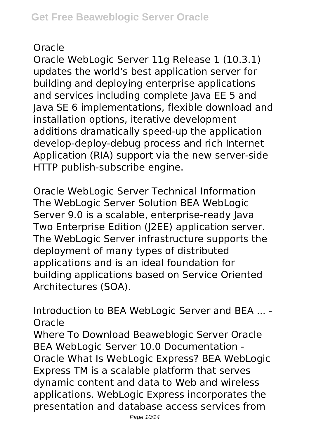## **Oracle**

Oracle WebLogic Server 11g Release 1 (10.3.1) updates the world's best application server for building and deploying enterprise applications and services including complete Java EE 5 and Java SE 6 implementations, flexible download and installation options, iterative development additions dramatically speed-up the application develop-deploy-debug process and rich Internet Application (RIA) support via the new server-side HTTP publish-subscribe engine.

Oracle WebLogic Server Technical Information The WebLogic Server Solution BEA WebLogic Server 9.0 is a scalable, enterprise-ready Java Two Enterprise Edition (J2EE) application server. The WebLogic Server infrastructure supports the deployment of many types of distributed applications and is an ideal foundation for building applications based on Service Oriented Architectures (SOA).

Introduction to BEA WebLogic Server and BEA ... - Oracle

Where To Download Beaweblogic Server Oracle BEA WebLogic Server 10.0 Documentation - Oracle What Is WebLogic Express? BEA WebLogic Express TM is a scalable platform that serves dynamic content and data to Web and wireless applications. WebLogic Express incorporates the presentation and database access services from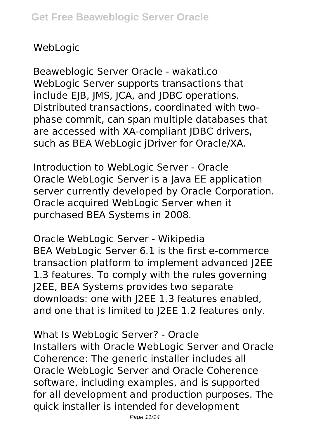## WebLogic

Beaweblogic Server Oracle - wakati.co WebLogic Server supports transactions that include EJB, JMS, JCA, and JDBC operations. Distributed transactions, coordinated with twophase commit, can span multiple databases that are accessed with XA-compliant JDBC drivers, such as BEA WebLogic jDriver for Oracle/XA.

Introduction to WebLogic Server - Oracle Oracle WebLogic Server is a Java EE application server currently developed by Oracle Corporation. Oracle acquired WebLogic Server when it purchased BEA Systems in 2008.

Oracle WebLogic Server - Wikipedia BEA WebLogic Server 6.1 is the first e-commerce transaction platform to implement advanced J2EE 1.3 features. To comply with the rules governing J2EE, BEA Systems provides two separate downloads: one with J2EE 1.3 features enabled, and one that is limited to J2EE 1.2 features only.

What Is WebLogic Server? - Oracle Installers with Oracle WebLogic Server and Oracle Coherence: The generic installer includes all Oracle WebLogic Server and Oracle Coherence software, including examples, and is supported for all development and production purposes. The quick installer is intended for development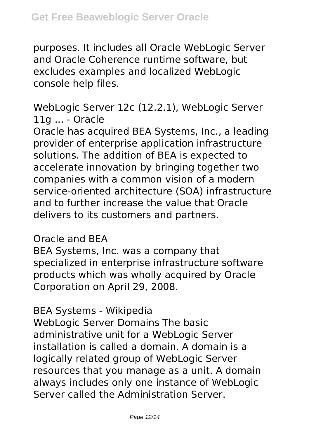purposes. It includes all Oracle WebLogic Server and Oracle Coherence runtime software, but excludes examples and localized WebLogic console help files.

WebLogic Server 12c (12.2.1), WebLogic Server 11g ... - Oracle

Oracle has acquired BEA Systems, Inc., a leading provider of enterprise application infrastructure solutions. The addition of BEA is expected to accelerate innovation by bringing together two companies with a common vision of a modern service-oriented architecture (SOA) infrastructure and to further increase the value that Oracle delivers to its customers and partners.

Oracle and BEA

BEA Systems, Inc. was a company that specialized in enterprise infrastructure software products which was wholly acquired by Oracle Corporation on April 29, 2008.

#### BEA Systems - Wikipedia

WebLogic Server Domains The basic administrative unit for a WebLogic Server installation is called a domain. A domain is a logically related group of WebLogic Server resources that you manage as a unit. A domain always includes only one instance of WebLogic Server called the Administration Server.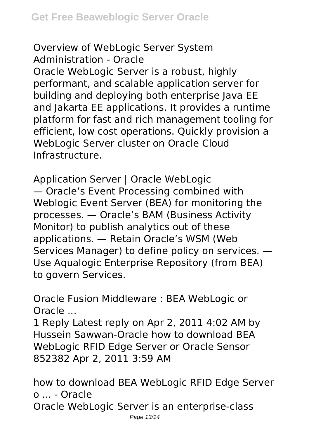#### Overview of WebLogic Server System Administration - Oracle

Oracle WebLogic Server is a robust, highly performant, and scalable application server for building and deploying both enterprise Java EE and Jakarta EE applications. It provides a runtime platform for fast and rich management tooling for efficient, low cost operations. Quickly provision a WebLogic Server cluster on Oracle Cloud Infrastructure.

Application Server | Oracle WebLogic — Oracle's Event Processing combined with Weblogic Event Server (BEA) for monitoring the processes. — Oracle's BAM (Business Activity Monitor) to publish analytics out of these applications. — Retain Oracle's WSM (Web Services Manager) to define policy on services. — Use Aqualogic Enterprise Repository (from BEA) to govern Services.

Oracle Fusion Middleware : BEA WebLogic or Oracle ...

1 Reply Latest reply on Apr 2, 2011 4:02 AM by Hussein Sawwan-Oracle how to download BEA WebLogic RFID Edge Server or Oracle Sensor 852382 Apr 2, 2011 3:59 AM

how to download BEA WebLogic RFID Edge Server o ... - Oracle Oracle WebLogic Server is an enterprise-class